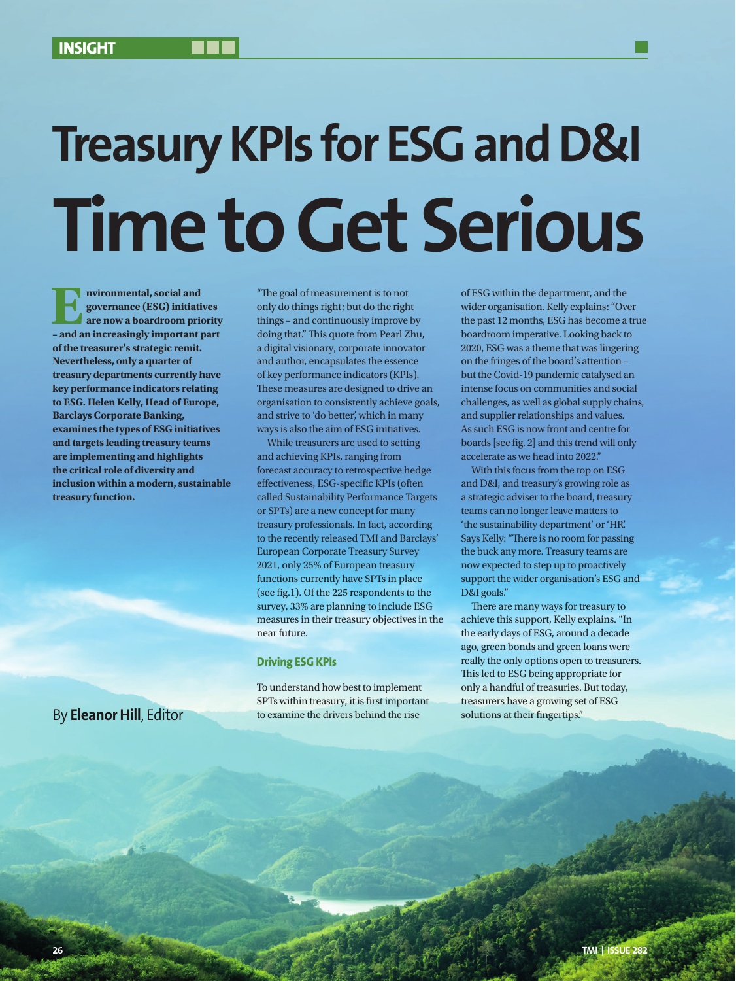# **Treasury KPIs for ESG and D&I Time to Get Serious**

**EP INTER INTERNATIONAL EXECUTER SOCIAL AND SURVEY CONTROVERS AND APPROXIMATE SOLUTION AND AN APPROXIMATE SOLUTION AND APPROXIMATE SOLUTION AND <b>FOR A SUBSEMICHTER SOLUTION**  $\mathbf{F} = \mathbf{F} \mathbf{F} \mathbf{F}$  and an increasingly **governance (ESG) initiatives are now a boardroom priority of the treasurer's strategic remit. Nevertheless, only a quarter of treasury departments currently have key performance indicators relating to ESG. Helen Kelly, Head of Europe, Barclays Corporate Banking, examines the types of ESG initiatives and targets leading treasury teams are implementing and highlights the critical role of diversity and inclusion within a modern, sustainable treasury function.**

By **Eleanor Hill**, Editor

"The goal of measurement is to not only do things right; but do the right things – and continuously improve by doing that." This quote from Pearl Zhu, a digital visionary, corporate innovator and author, encapsulates the essence of key performance indicators (KPIs). These measures are designed to drive an organisation to consistently achieve goals, and strive to 'do better', which in many ways is also the aim of ESG initiatives.

While treasurers are used to setting and achieving KPIs, ranging from forecast accuracy to retrospective hedge effectiveness, ESG-specific KPIs (often called Sustainability Performance Targets or SPTs) are a new concept for many treasury professionals. In fact, according to the recently released TMI and Barclays' European Corporate Treasury Survey 2021, only 25% of European treasury functions currently have SPTs in place (see fig.1). Of the 225 respondents to the survey, 33% are planning to include ESG measures in their treasury objectives in the near future.

#### **Driving ESG KPIs**

To understand how best to implement SPTs within treasury, it is first important to examine the drivers behind the rise

of ESG within the department, and the wider organisation. Kelly explains: "Over the past 12 months, ESG has become a true boardroom imperative. Looking back to 2020, ESG was a theme that was lingering on the fringes of the board's attention – but the Covid-19 pandemic catalysed an intense focus on communities and social challenges, as well as global supply chains, and supplier relationships and values. As such ESG is now front and centre for boards [see fig. 2] and this trend will only accelerate as we head into 2022."

With this focus from the top on ESG and D&I, and treasury's growing role as a strategic adviser to the board, treasury teams can no longer leave matters to 'the sustainability department' or 'HR'. Says Kelly: "There is no room for passing the buck any more. Treasury teams are now expected to step up to proactively support the wider organisation's ESG and D&I goals."

There are many ways for treasury to achieve this support, Kelly explains. "In the early days of ESG, around a decade ago, green bonds and green loans were really the only options open to treasurers. This led to ESG being appropriate for only a handful of treasuries. But today, treasurers have a growing set of ESG solutions at their fingertips."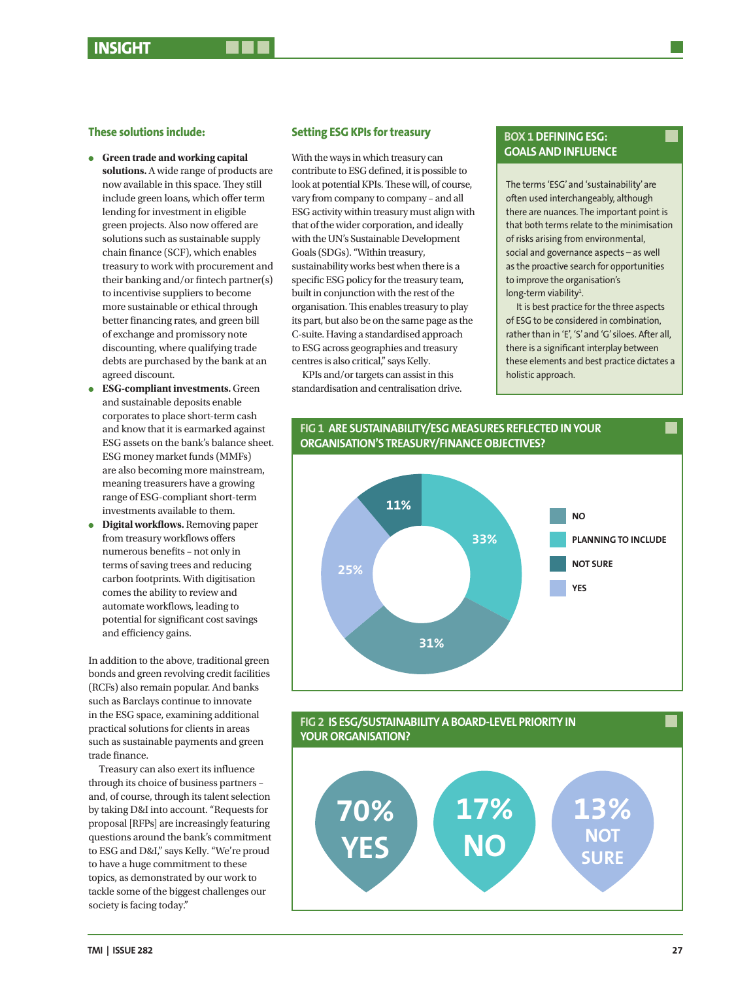#### **These solutions include:**

- **e** Green trade and working capital **solutions.** A wide range of products are now available in this space. They still include green loans, which offer term lending for investment in eligible green projects. Also now offered are solutions such as sustainable supply chain finance (SCF), which enables treasury to work with procurement and their banking and/or fintech partner(s) to incentivise suppliers to become more sustainable or ethical through better financing rates, and green bill of exchange and promissory note discounting, where qualifying trade debts are purchased by the bank at an agreed discount.
- <sup>l</sup> **ESG-compliant investments.** Green and sustainable deposits enable corporates to place short-term cash and know that it is earmarked against ESG assets on the bank's balance sheet. ESG money market funds (MMFs) are also becoming more mainstream, meaning treasurers have a growing range of ESG-compliant short-term investments available to them.
- **Digital workflows.** Removing paper from treasury workflows offers numerous benefits – not only in terms of saving trees and reducing carbon footprints. With digitisation comes the ability to review and automate workflows, leading to potential for significant cost savings and efficiency gains.

In addition to the above, traditional green bonds and green revolving credit facilities (RCFs) also remain popular. And banks such as Barclays continue to innovate in the ESG space, examining additional practical solutions for clients in areas such as sustainable payments and green trade finance.

Treasury can also exert its influence through its choice of business partners – and, of course, through its talent selection by taking D&I into account. "Requests for proposal [RFPs] are increasingly featuring questions around the bank's commitment to ESG and D&I," says Kelly. "We're proud to have a huge commitment to these topics, as demonstrated by our work to tackle some of the biggest challenges our society is facing today."

#### **Setting ESG KPIs for treasury**

With the ways in which treasury can contribute to ESG defined, it is possible to look at potential KPIs. These will, of course, vary from company to company – and all ESG activity within treasury must align with that of the wider corporation, and ideally with the UN's Sustainable Development Goals (SDGs). "Within treasury, sustainability works best when there is a specific ESG policy for the treasury team, built in conjunction with the rest of the organisation. This enables treasury to play its part, but also be on the same page as the C-suite. Having a standardised approach to ESG across geographies and treasury centres is also critical," says Kelly.

KPIs and/or targets can assist in this standardisation and centralisation drive.

### **BOX 1 DEFINING ESG: GOALS AND INFLUENCE**

The terms 'ESG' and 'sustainability' are often used interchangeably, although there are nuances. The important point is that both terms relate to the minimisation of risks arising from environmental, social and governance aspects – as well as the proactive search for opportunities to improve the organisation's long-term viability<sup>1</sup>.

It is best practice for the three aspects of ESG to be considered in combination, rather than in 'E', 'S' and 'G' siloes. After all, there is a significant interplay between these elements and best practice dictates a holistic approach.



#### **FIG 2 IS ESG/SUSTAINABILITY A BOARD-LEVEL PRIORITY IN YOUR ORGANISATION?**

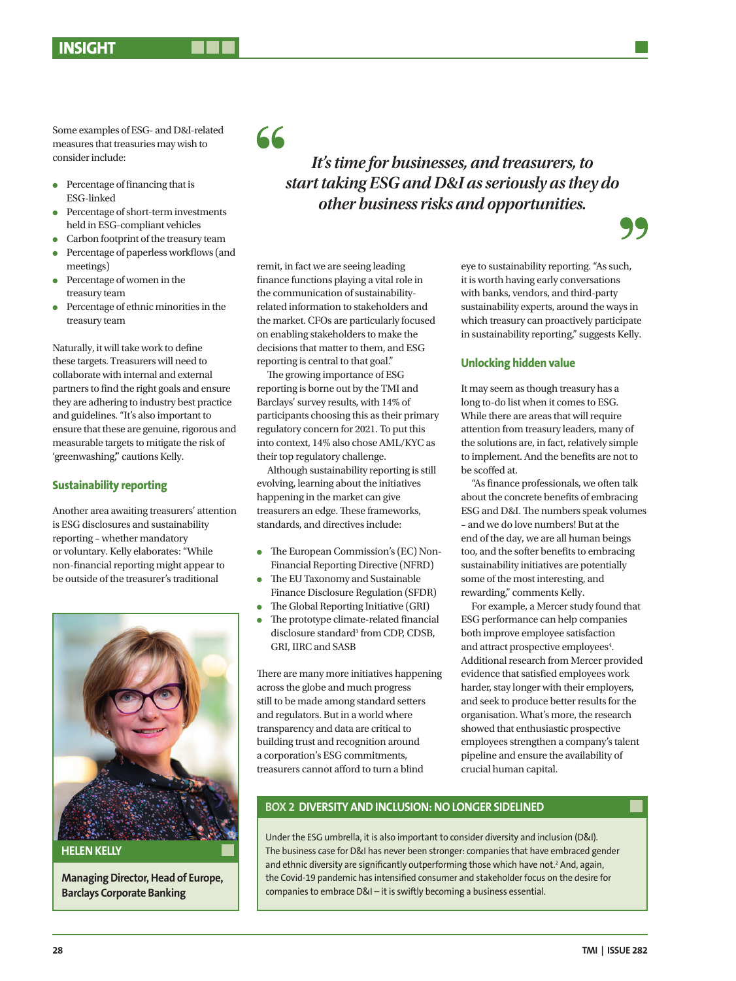Some examples of ESG- and D&I-related measures that treasuries may wish to consider include:

- $\bullet$  Percentage of financing that is ESG-linked
- <sup>l</sup> Percentage of short-term investments held in ESG-compliant vehicles
- $\bullet$  Carbon footprint of the treasury team
- <sup>l</sup> Percentage of paperless workflows (and meetings)
- <sup>l</sup> Percentage of women in the treasury team
- <sup>l</sup> Percentage of ethnic minorities in the treasury team

Naturally, it will take work to define these targets. Treasurers will need to collaborate with internal and external partners to find the right goals and ensure they are adhering to industry best practice and guidelines. "It's also important to ensure that these are genuine, rigorous and measurable targets to mitigate the risk of 'greenwashing," cautions Kelly.

#### **Sustainability reporting**

Another area awaiting treasurers' attention is ESG disclosures and sustainability reporting – whether mandatory or voluntary. Kelly elaborates: "While non-financial reporting might appear to be outside of the treasurer's traditional



**Managing Director, Head of Europe, Barclays Corporate Banking**

## 66

*It's time for businesses, and treasurers, to start taking ESG and D&I as seriously as they do other business risks and opportunities.*

remit, in fact we are seeing leading finance functions playing a vital role in the communication of sustainabilityrelated information to stakeholders and the market. CFOs are particularly focused on enabling stakeholders to make the decisions that matter to them, and ESG reporting is central to that goal."

The growing importance of ESG reporting is borne out by the TMI and Barclays' survey results, with 14% of participants choosing this as their primary regulatory concern for 2021. To put this into context, 14% also chose AML/KYC as their top regulatory challenge.

Although sustainability reporting is still evolving, learning about the initiatives happening in the market can give treasurers an edge. These frameworks, standards, and directives include:

- The European Commission's (EC) Non-Financial Reporting Directive (NFRD)
- The EU Taxonomy and Sustainable Finance Disclosure Regulation (SFDR)
- $\bullet$  The Global Reporting Initiative (GRI) The prototype climate-related financial
- disclosure standard<sup>3</sup> from CDP, CDSB, GRI, IIRC and SASB

There are many more initiatives happening across the globe and much progress still to be made among standard setters and regulators. But in a world where transparency and data are critical to building trust and recognition around a corporation's ESG commitments, treasurers cannot afford to turn a blind

eye to sustainability reporting. "As such, it is worth having early conversations with banks, vendors, and third-party sustainability experts, around the ways in which treasury can proactively participate in sustainability reporting," suggests Kelly.

#### **Unlocking hidden value**

It may seem as though treasury has a long to-do list when it comes to ESG. While there are areas that will require attention from treasury leaders, many of the solutions are, in fact, relatively simple to implement. And the benefits are not to be scoffed at.

"As finance professionals, we often talk about the concrete benefits of embracing ESG and D&I. The numbers speak volumes – and we do love numbers! But at the end of the day, we are all human beings too, and the softer benefits to embracing sustainability initiatives are potentially some of the most interesting, and rewarding," comments Kelly.

For example, a Mercer study found that ESG performance can help companies both improve employee satisfaction and attract prospective employees<sup>4</sup>. Additional research from Mercer provided evidence that satisfied employees work harder, stay longer with their employers, and seek to produce better results for the organisation. What's more, the research showed that enthusiastic prospective employees strengthen a company's talent pipeline and ensure the availability of crucial human capital.

### **BOX 2 DIVERSITY AND INCLUSION: NO LONGER SIDELINED**

Under the ESG umbrella, it is also important to consider diversity and inclusion (D&I). The business case for D&I has never been stronger: companies that have embraced gender and ethnic diversity are significantly outperforming those which have not.<sup>2</sup> And, again, the Covid-19 pandemic has intensified consumer and stakeholder focus on the desire for companies to embrace D&I – it is swiftly becoming a business essential.